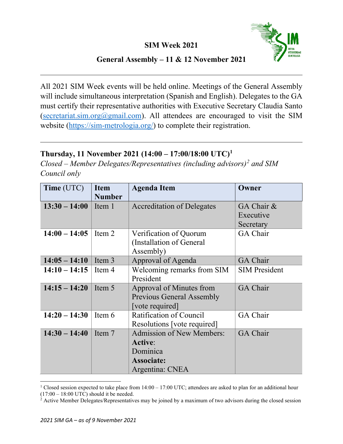

## **General Assembly – 11 & 12 November 2021**

All 2021 SIM Week events will be held online. Meetings of the General Assembly will include simultaneous interpretation (Spanish and English). Delegates to the GA must certify their representative authorities with Executive Secretary Claudia Santo (secretariat.sim.org $@g$ mail.com). All attendees are encouraged to visit the SIM website [\(https://sim-metrologia.org/\)](https://sim-metrologia.org/) to complete their registration.

## **Thursday, 11 November 2021 (14:00 – 17:00/18:00 UTC)[1](#page-0-0)**

*Closed – Member Delegates/Representatives (including advisors)[2](#page-0-1) and SIM Council only*

| Time (UTC)      | <b>Item</b><br><b>Number</b> | <b>Agenda Item</b>                                                                                     | Owner                                |
|-----------------|------------------------------|--------------------------------------------------------------------------------------------------------|--------------------------------------|
| $13:30 - 14:00$ | Item 1                       | <b>Accreditation of Delegates</b>                                                                      | GA Chair &<br>Executive<br>Secretary |
| $14:00 - 14:05$ | Item 2                       | Verification of Quorum<br>(Installation of General<br>Assembly)                                        | GA Chair                             |
| $14:05 - 14:10$ | Item 3                       | Approval of Agenda                                                                                     | GA Chair                             |
| $14:10 - 14:15$ | Item 4                       | Welcoming remarks from SIM<br>President                                                                | <b>SIM President</b>                 |
| $14:15 - 14:20$ | Item 5                       | Approval of Minutes from<br><b>Previous General Assembly</b><br>[vote required]                        | <b>GA Chair</b>                      |
| $14:20 - 14:30$ | Item 6                       | Ratification of Council<br>Resolutions [vote required]                                                 | <b>GA Chair</b>                      |
| $14:30 - 14:40$ | Item 7                       | <b>Admission of New Members:</b><br><b>Active:</b><br>Dominica<br><b>Associate:</b><br>Argentina: CNEA | <b>GA Chair</b>                      |

<span id="page-0-0"></span><sup>&</sup>lt;sup>1</sup> Closed session expected to take place from  $14:00 - 17:00$  UTC; attendees are asked to plan for an additional hour  $(17:00 - 18:00$  UTC) should it be needed.

<span id="page-0-1"></span> $<sup>2</sup>$  Active Member Delegates/Representatives may be joined by a maximum of two advisors during the closed session</sup>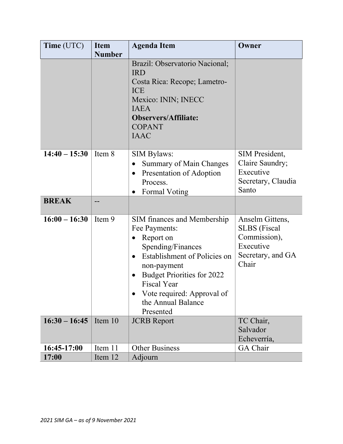| Time (UTC)      | <b>Item</b><br><b>Number</b> | <b>Agenda Item</b>                                                                                                                                                                                                                                                                               | Owner                                                                                             |
|-----------------|------------------------------|--------------------------------------------------------------------------------------------------------------------------------------------------------------------------------------------------------------------------------------------------------------------------------------------------|---------------------------------------------------------------------------------------------------|
|                 |                              | Brazil: Observatorio Nacional;<br><b>IRD</b><br>Costa Rica: Recope; Lametro-<br><b>ICE</b><br>Mexico: ININ; INECC<br><b>IAEA</b><br><b>Observers/Affiliate:</b><br><b>COPANT</b><br><b>IAAC</b>                                                                                                  |                                                                                                   |
| $14:40 - 15:30$ | Item 8                       | <b>SIM Bylaws:</b><br><b>Summary of Main Changes</b><br>$\bullet$<br>Presentation of Adoption<br>$\bullet$<br>Process.<br><b>Formal Voting</b><br>$\bullet$                                                                                                                                      | SIM President,<br>Claire Saundry;<br>Executive<br>Secretary, Claudia<br>Santo                     |
| <b>BREAK</b>    |                              |                                                                                                                                                                                                                                                                                                  |                                                                                                   |
| $16:00 - 16:30$ | Item 9                       | SIM finances and Membership<br>Fee Payments:<br>Report on<br>$\bullet$<br>Spending/Finances<br>Establishment of Policies on<br>$\bullet$<br>non-payment<br><b>Budget Priorities for 2022</b><br>$\bullet$<br><b>Fiscal Year</b><br>Vote required: Approval of<br>the Annual Balance<br>Presented | Anselm Gittens,<br><b>SLBS</b> (Fiscal<br>Commission),<br>Executive<br>Secretary, and GA<br>Chair |
| $16:30 - 16:45$ | Item $10$                    | <b>JCRB</b> Report                                                                                                                                                                                                                                                                               | TC Chair,<br>Salvador<br>Echeverría,                                                              |
| 16:45-17:00     | Item 11                      | <b>Other Business</b>                                                                                                                                                                                                                                                                            | GA Chair                                                                                          |
| 17:00           | Item 12                      | Adjourn                                                                                                                                                                                                                                                                                          |                                                                                                   |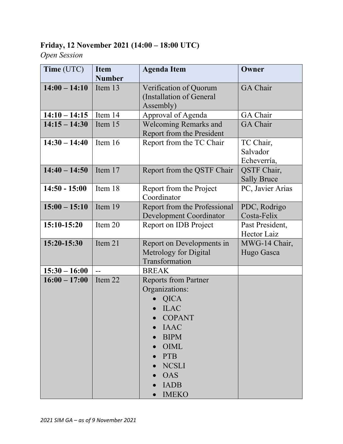## **Friday, 12 November 2021 (14:00 – 18:00 UTC)**

## *Open Session*

| Time (UTC)      | <b>Item</b><br><b>Number</b> | <b>Agenda Item</b>                                                                                                                                                                                                                      | Owner                                |
|-----------------|------------------------------|-----------------------------------------------------------------------------------------------------------------------------------------------------------------------------------------------------------------------------------------|--------------------------------------|
| $14:00 - 14:10$ | Item 13                      | Verification of Quorum<br>(Installation of General<br>Assembly)                                                                                                                                                                         | <b>GA</b> Chair                      |
| $14:10 - 14:15$ | Item 14                      | Approval of Agenda                                                                                                                                                                                                                      | GA Chair                             |
| $14:15 - 14:30$ | Item 15                      | <b>Welcoming Remarks and</b><br>Report from the President                                                                                                                                                                               | GA Chair                             |
| $14:30 - 14:40$ | Item 16                      | Report from the TC Chair                                                                                                                                                                                                                | TC Chair,<br>Salvador<br>Echeverría, |
| $14:40 - 14:50$ | Item 17                      | Report from the QSTF Chair                                                                                                                                                                                                              | QSTF Chair,<br><b>Sally Bruce</b>    |
| $14:50 - 15:00$ | Item 18                      | Report from the Project<br>Coordinator                                                                                                                                                                                                  | PC, Javier Arias                     |
| $15:00 - 15:10$ | Item 19                      | Report from the Professional<br><b>Development Coordinator</b>                                                                                                                                                                          | PDC, Rodrigo<br>Costa-Felix          |
| 15:10-15:20     | Item 20                      | Report on IDB Project                                                                                                                                                                                                                   | Past President,<br>Hector Laiz       |
| 15:20-15:30     | Item 21                      | Report on Developments in<br>Metrology for Digital<br>Transformation                                                                                                                                                                    | MWG-14 Chair,<br>Hugo Gasca          |
| $15:30 - 16:00$ | $\overline{a}$               | <b>BREAK</b>                                                                                                                                                                                                                            |                                      |
| $16:00 - 17:00$ | Item 22                      | <b>Reports from Partner</b><br>Organizations:<br><b>QICA</b><br><b>ILAC</b><br><b>COPANT</b><br><b>IAAC</b><br><b>BIPM</b><br>$\bullet$<br>OIML<br><b>PTB</b><br><b>NCSLI</b><br><b>OAS</b><br><b>IADB</b><br>$\bullet$<br><b>IMEKO</b> |                                      |